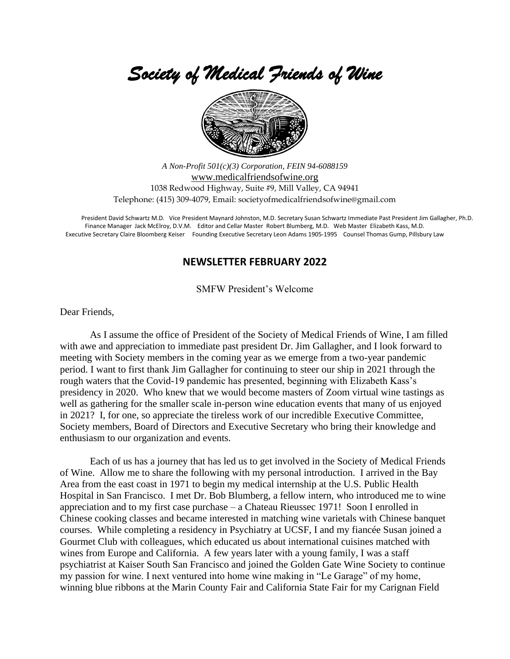*Society of Medical Friends of Wine* 



*A Non-Profit 501(c)(3) Corporation, FEIN 94-6088159* [www.medicalfriendsofwine.org](http://www.medicalfriendsofwine.org/) 1038 Redwood Highway, Suite #9, Mill Valley, CA 94941 Telephone: (415) 309-4079, Email: societyofmedicalfriendsofwine@gmail.com

President David Schwartz M.D. Vice President Maynard Johnston, M.D. Secretary Susan Schwartz Immediate Past President Jim Gallagher, Ph.D. Finance Manager Jack McElroy, D.V.M. Editor and Cellar Master Robert Blumberg, M.D. Web Master Elizabeth Kass, M.D. Executive Secretary Claire Bloomberg Keiser Founding Executive Secretary Leon Adams 1905-1995 Counsel Thomas Gump, Pillsbury Law

### **NEWSLETTER FEBRUARY 2022**

SMFW President's Welcome

Dear Friends,

As I assume the office of President of the Society of Medical Friends of Wine, I am filled with awe and appreciation to immediate past president Dr. Jim Gallagher, and I look forward to meeting with Society members in the coming year as we emerge from a two-year pandemic period. I want to first thank Jim Gallagher for continuing to steer our ship in 2021 through the rough waters that the Covid-19 pandemic has presented, beginning with Elizabeth Kass's presidency in 2020. Who knew that we would become masters of Zoom virtual wine tastings as well as gathering for the smaller scale in-person wine education events that many of us enjoyed in 2021? I, for one, so appreciate the tireless work of our incredible Executive Committee, Society members, Board of Directors and Executive Secretary who bring their knowledge and enthusiasm to our organization and events.

Each of us has a journey that has led us to get involved in the Society of Medical Friends of Wine. Allow me to share the following with my personal introduction. I arrived in the Bay Area from the east coast in 1971 to begin my medical internship at the U.S. Public Health Hospital in San Francisco. I met Dr. Bob Blumberg, a fellow intern, who introduced me to wine appreciation and to my first case purchase – a Chateau Rieussec 1971! Soon I enrolled in Chinese cooking classes and became interested in matching wine varietals with Chinese banquet courses. While completing a residency in Psychiatry at UCSF, I and my fiancée Susan joined a Gourmet Club with colleagues, which educated us about international cuisines matched with wines from Europe and California. A few years later with a young family, I was a staff psychiatrist at Kaiser South San Francisco and joined the Golden Gate Wine Society to continue my passion for wine. I next ventured into home wine making in "Le Garage" of my home, winning blue ribbons at the Marin County Fair and California State Fair for my Carignan Field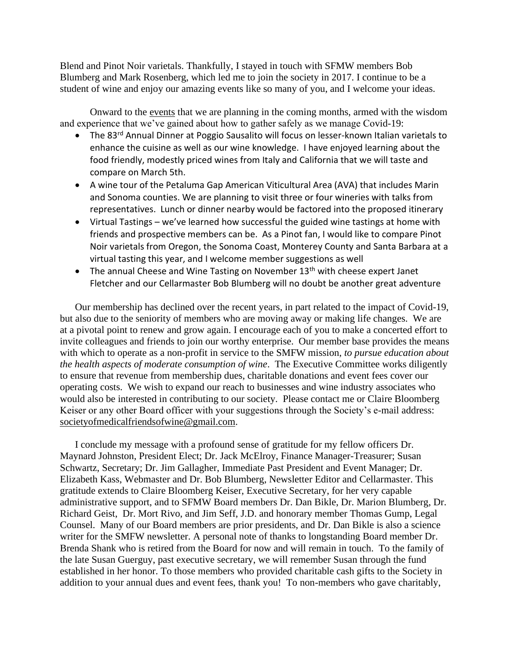Blend and Pinot Noir varietals. Thankfully, I stayed in touch with SFMW members Bob Blumberg and Mark Rosenberg, which led me to join the society in 2017. I continue to be a student of wine and enjoy our amazing events like so many of you, and I welcome your ideas.

Onward to the events that we are planning in the coming months, armed with the wisdom and experience that we've gained about how to gather safely as we manage Covid-19:

- The 83<sup>rd</sup> Annual Dinner at Poggio Sausalito will focus on lesser-known Italian varietals to enhance the cuisine as well as our wine knowledge. I have enjoyed learning about the food friendly, modestly priced wines from Italy and California that we will taste and compare on March 5th.
- A wine tour of the Petaluma Gap American Viticultural Area (AVA) that includes Marin and Sonoma counties. We are planning to visit three or four wineries with talks from representatives. Lunch or dinner nearby would be factored into the proposed itinerary
- Virtual Tastings we've learned how successful the guided wine tastings at home with friends and prospective members can be. As a Pinot fan, I would like to compare Pinot Noir varietals from Oregon, the Sonoma Coast, Monterey County and Santa Barbara at a virtual tasting this year, and I welcome member suggestions as well
- The annual Cheese and Wine Tasting on November  $13<sup>th</sup>$  with cheese expert Janet Fletcher and our Cellarmaster Bob Blumberg will no doubt be another great adventure

Our membership has declined over the recent years, in part related to the impact of Covid-19, but also due to the seniority of members who are moving away or making life changes. We are at a pivotal point to renew and grow again. I encourage each of you to make a concerted effort to invite colleagues and friends to join our worthy enterprise. Our member base provides the means with which to operate as a non-profit in service to the SMFW mission, *to pursue education about the health aspects of moderate consumption of wine*. The Executive Committee works diligently to ensure that revenue from membership dues, charitable donations and event fees cover our operating costs. We wish to expand our reach to businesses and wine industry associates who would also be interested in contributing to our society. Please contact me or Claire Bloomberg Keiser or any other Board officer with your suggestions through the Society's e-mail address: societyofmedicalfriendsofwine@gmail.com.

I conclude my message with a profound sense of gratitude for my fellow officers Dr. Maynard Johnston, President Elect; Dr. Jack McElroy, Finance Manager-Treasurer; Susan Schwartz, Secretary; Dr. Jim Gallagher, Immediate Past President and Event Manager; Dr. Elizabeth Kass, Webmaster and Dr. Bob Blumberg, Newsletter Editor and Cellarmaster. This gratitude extends to Claire Bloomberg Keiser, Executive Secretary, for her very capable administrative support, and to SFMW Board members Dr. Dan Bikle, Dr. Marion Blumberg, Dr. Richard Geist, Dr. Mort Rivo, and Jim Seff, J.D. and honorary member Thomas Gump, Legal Counsel. Many of our Board members are prior presidents, and Dr. Dan Bikle is also a science writer for the SMFW newsletter. A personal note of thanks to longstanding Board member Dr. Brenda Shank who is retired from the Board for now and will remain in touch. To the family of the late Susan Guerguy, past executive secretary, we will remember Susan through the fund established in her honor. To those members who provided charitable cash gifts to the Society in addition to your annual dues and event fees, thank you! To non-members who gave charitably,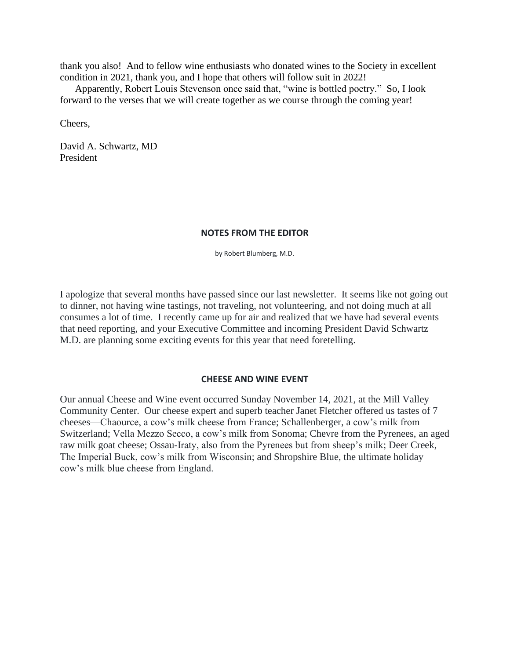thank you also! And to fellow wine enthusiasts who donated wines to the Society in excellent condition in 2021, thank you, and I hope that others will follow suit in 2022!

Apparently, Robert Louis Stevenson once said that, "wine is bottled poetry." So, I look forward to the verses that we will create together as we course through the coming year!

Cheers,

David A. Schwartz, MD President

#### **NOTES FROM THE EDITOR**

by Robert Blumberg, M.D.

I apologize that several months have passed since our last newsletter. It seems like not going out to dinner, not having wine tastings, not traveling, not volunteering, and not doing much at all consumes a lot of time. I recently came up for air and realized that we have had several events that need reporting, and your Executive Committee and incoming President David Schwartz M.D. are planning some exciting events for this year that need foretelling.

#### **CHEESE AND WINE EVENT**

Our annual Cheese and Wine event occurred Sunday November 14, 2021, at the Mill Valley Community Center. Our cheese expert and superb teacher Janet Fletcher offered us tastes of 7 cheeses—Chaource, a cow's milk cheese from France; Schallenberger, a cow's milk from Switzerland; Vella Mezzo Secco, a cow's milk from Sonoma; Chevre from the Pyrenees, an aged raw milk goat cheese; Ossau-Iraty, also from the Pyrenees but from sheep's milk; Deer Creek, The Imperial Buck, cow's milk from Wisconsin; and Shropshire Blue, the ultimate holiday cow's milk blue cheese from England.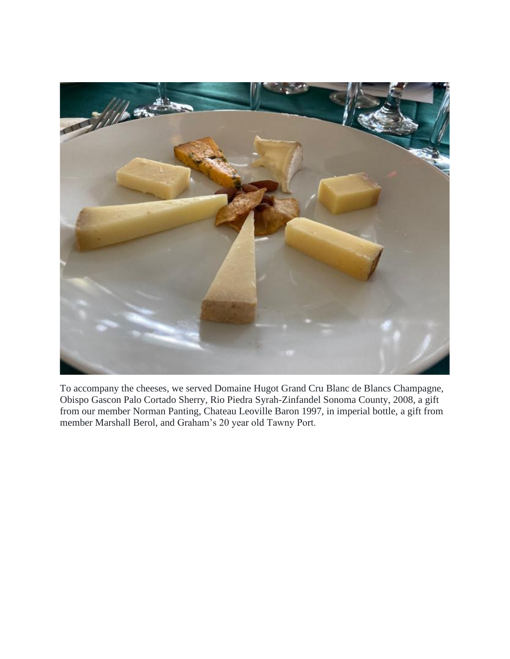

To accompany the cheeses, we served Domaine Hugot Grand Cru Blanc de Blancs Champagne, Obispo Gascon Palo Cortado Sherry, Rio Piedra Syrah-Zinfandel Sonoma County, 2008, a gift from our member Norman Panting, Chateau Leoville Baron 1997, in imperial bottle, a gift from member Marshall Berol, and Graham's 20 year old Tawny Port.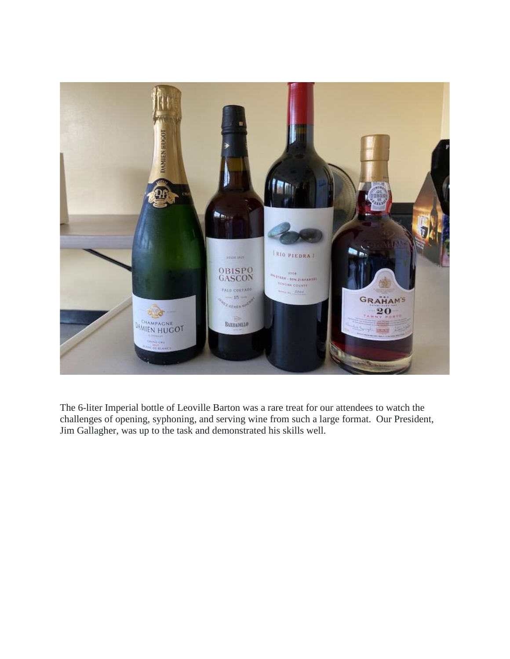

The 6-liter Imperial bottle of Leoville Barton was a rare treat for our attendees to watch the challenges of opening, syphoning, and serving wine from such a large format. Our President, Jim Gallagher, was up to the task and demonstrated his skills well.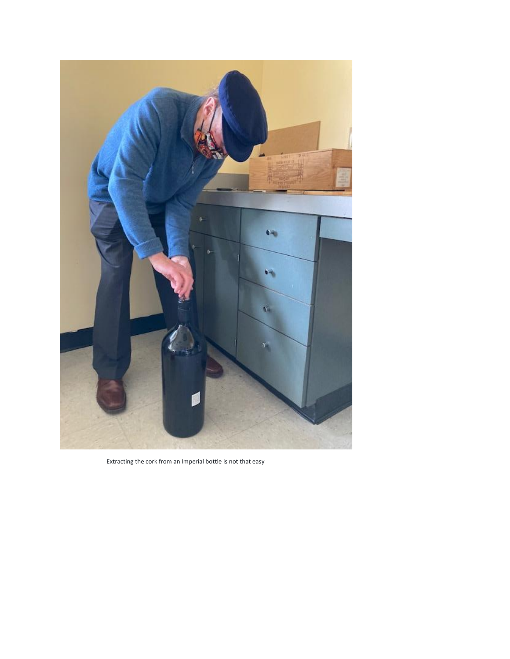

Extracting the cork from an Imperial bottle is not that easy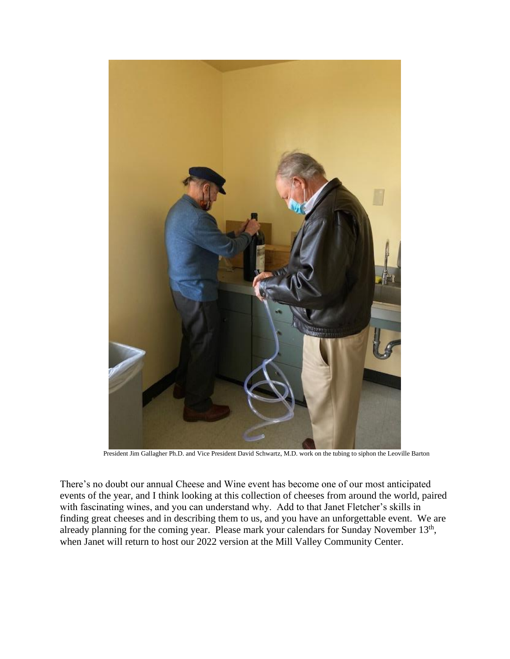

President Jim Gallagher Ph.D. and Vice President David Schwartz, M.D. work on the tubing to siphon the Leoville Barton

There's no doubt our annual Cheese and Wine event has become one of our most anticipated events of the year, and I think looking at this collection of cheeses from around the world, paired with fascinating wines, and you can understand why. Add to that Janet Fletcher's skills in finding great cheeses and in describing them to us, and you have an unforgettable event. We are already planning for the coming year. Please mark your calendars for Sunday November  $13<sup>th</sup>$ , when Janet will return to host our 2022 version at the Mill Valley Community Center.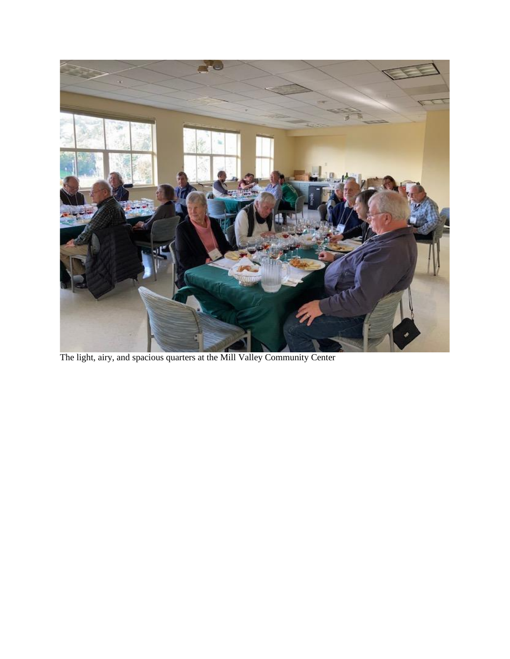

The light, airy, and spacious quarters at the Mill Valley Community Center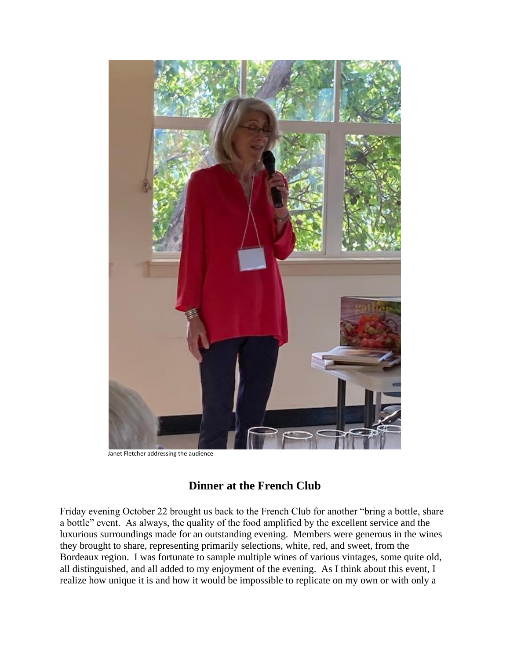

Janet Fletcher addressing the audience

# **Dinner at the French Club**

Friday evening October 22 brought us back to the French Club for another "bring a bottle, share a bottle" event. As always, the quality of the food amplified by the excellent service and the luxurious surroundings made for an outstanding evening. Members were generous in the wines they brought to share, representing primarily selections, white, red, and sweet, from the Bordeaux region. I was fortunate to sample multiple wines of various vintages, some quite old, all distinguished, and all added to my enjoyment of the evening. As I think about this event, I realize how unique it is and how it would be impossible to replicate on my own or with only a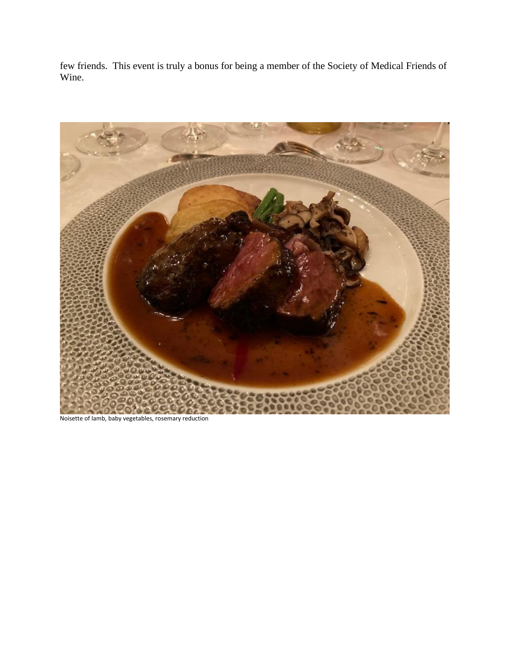few friends. This event is truly a bonus for being a member of the Society of Medical Friends of Wine.



Noisette of lamb, baby vegetables, rosemary reduction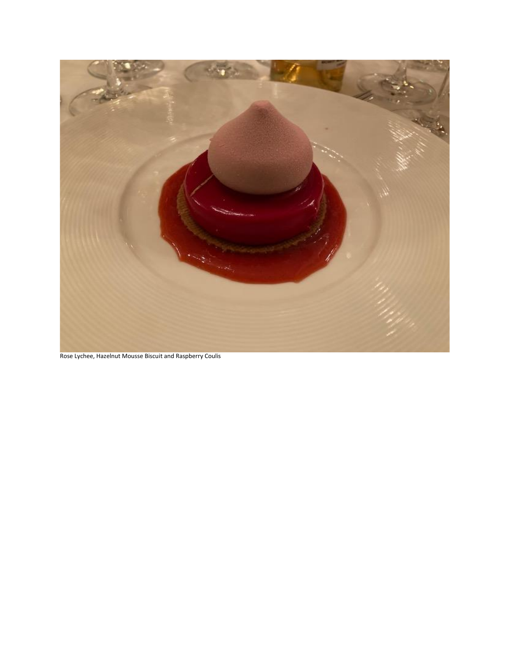

Rose Lychee, Hazelnut Mousse Biscuit and Raspberry Coulis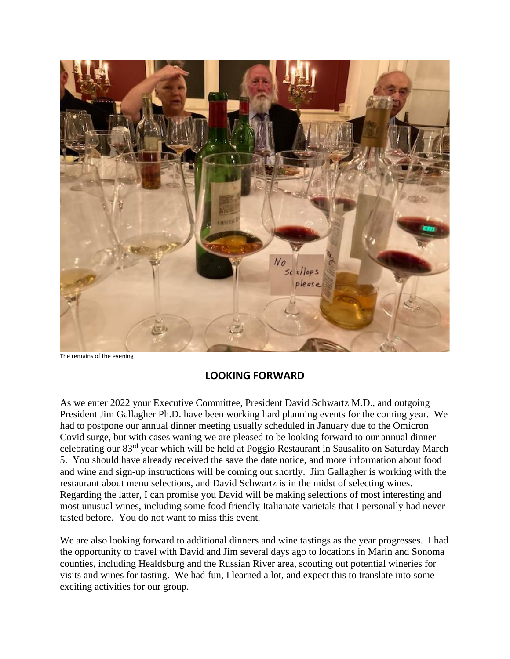

The remains of the evening

# **LOOKING FORWARD**

As we enter 2022 your Executive Committee, President David Schwartz M.D., and outgoing President Jim Gallagher Ph.D. have been working hard planning events for the coming year. We had to postpone our annual dinner meeting usually scheduled in January due to the Omicron Covid surge, but with cases waning we are pleased to be looking forward to our annual dinner celebrating our 83rd year which will be held at Poggio Restaurant in Sausalito on Saturday March 5. You should have already received the save the date notice, and more information about food and wine and sign-up instructions will be coming out shortly. Jim Gallagher is working with the restaurant about menu selections, and David Schwartz is in the midst of selecting wines. Regarding the latter, I can promise you David will be making selections of most interesting and most unusual wines, including some food friendly Italianate varietals that I personally had never tasted before. You do not want to miss this event.

We are also looking forward to additional dinners and wine tastings as the year progresses. I had the opportunity to travel with David and Jim several days ago to locations in Marin and Sonoma counties, including Healdsburg and the Russian River area, scouting out potential wineries for visits and wines for tasting. We had fun, I learned a lot, and expect this to translate into some exciting activities for our group.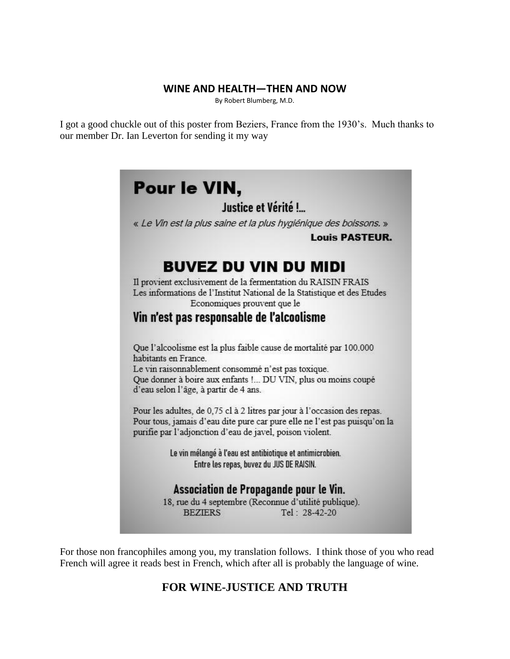### **WINE AND HEALTH—THEN AND NOW**

By Robert Blumberg, M.D.

I got a good chuckle out of this poster from Beziers, France from the 1930's. Much thanks to our member Dr. Ian Leverton for sending it my way



For those non francophiles among you, my translation follows. I think those of you who read French will agree it reads best in French, which after all is probably the language of wine.

# **FOR WINE-JUSTICE AND TRUTH**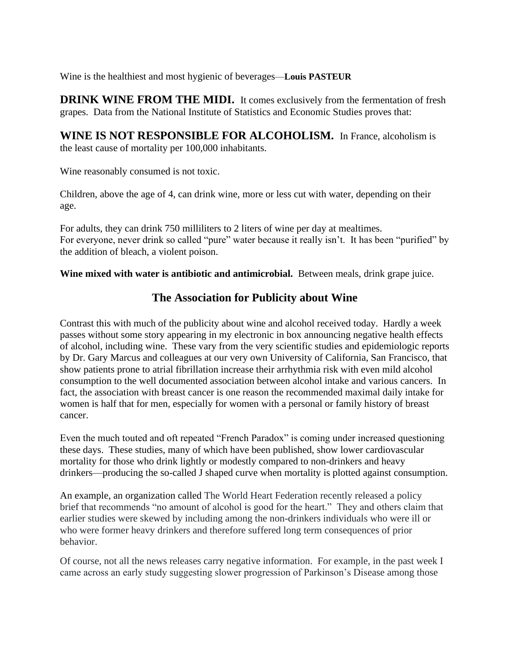Wine is the healthiest and most hygienic of beverages—**Louis PASTEUR**

**DRINK WINE FROM THE MIDI.** It comes exclusively from the fermentation of fresh grapes. Data from the National Institute of Statistics and Economic Studies proves that:

**WINE IS NOT RESPONSIBLE FOR ALCOHOLISM.** In France, alcoholism is the least cause of mortality per 100,000 inhabitants.

Wine reasonably consumed is not toxic.

Children, above the age of 4, can drink wine, more or less cut with water, depending on their age.

For adults, they can drink 750 milliliters to 2 liters of wine per day at mealtimes. For everyone, never drink so called "pure" water because it really isn't. It has been "purified" by the addition of bleach, a violent poison.

**Wine mixed with water is antibiotic and antimicrobial.** Between meals, drink grape juice.

# **The Association for Publicity about Wine**

Contrast this with much of the publicity about wine and alcohol received today. Hardly a week passes without some story appearing in my electronic in box announcing negative health effects of alcohol, including wine. These vary from the very scientific studies and epidemiologic reports by Dr. Gary Marcus and colleagues at our very own University of California, San Francisco, that show patients prone to atrial fibrillation increase their arrhythmia risk with even mild alcohol consumption to the well documented association between alcohol intake and various cancers. In fact, the association with breast cancer is one reason the recommended maximal daily intake for women is half that for men, especially for women with a personal or family history of breast cancer.

Even the much touted and oft repeated "French Paradox" is coming under increased questioning these days. These studies, many of which have been published, show lower cardiovascular mortality for those who drink lightly or modestly compared to non-drinkers and heavy drinkers—producing the so-called J shaped curve when mortality is plotted against consumption.

An example, an organization called The World Heart Federation recently released a policy brief that recommends "no amount of alcohol is good for the heart." They and others claim that earlier studies were skewed by including among the non-drinkers individuals who were ill or who were former heavy drinkers and therefore suffered long term consequences of prior behavior.

Of course, not all the news releases carry negative information. For example, in the past week I came across an early study suggesting slower progression of Parkinson's Disease among those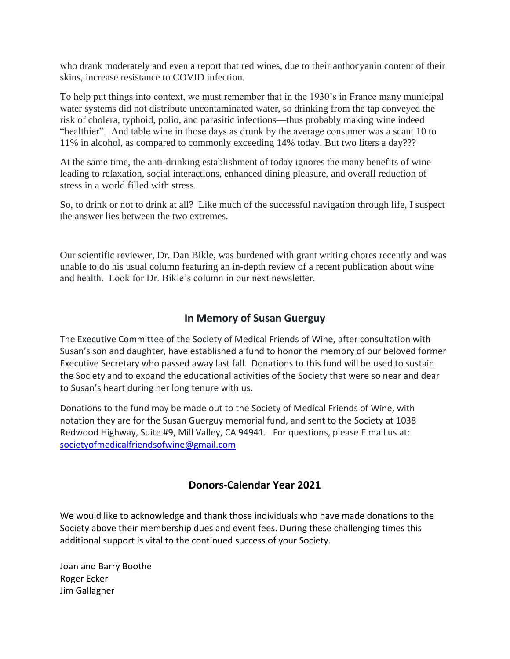who drank moderately and even a report that red wines, due to their anthocyanin content of their skins, increase resistance to COVID infection.

To help put things into context, we must remember that in the 1930's in France many municipal water systems did not distribute uncontaminated water, so drinking from the tap conveyed the risk of cholera, typhoid, polio, and parasitic infections—thus probably making wine indeed "healthier". And table wine in those days as drunk by the average consumer was a scant 10 to 11% in alcohol, as compared to commonly exceeding 14% today. But two liters a day???

At the same time, the anti-drinking establishment of today ignores the many benefits of wine leading to relaxation, social interactions, enhanced dining pleasure, and overall reduction of stress in a world filled with stress.

So, to drink or not to drink at all? Like much of the successful navigation through life, I suspect the answer lies between the two extremes.

Our scientific reviewer, Dr. Dan Bikle, was burdened with grant writing chores recently and was unable to do his usual column featuring an in-depth review of a recent publication about wine and health. Look for Dr. Bikle's column in our next newsletter.

# **In Memory of Susan Guerguy**

The Executive Committee of the Society of Medical Friends of Wine, after consultation with Susan's son and daughter, have established a fund to honor the memory of our beloved former Executive Secretary who passed away last fall. Donations to this fund will be used to sustain the Society and to expand the educational activities of the Society that were so near and dear to Susan's heart during her long tenure with us.

Donations to the fund may be made out to the Society of Medical Friends of Wine, with notation they are for the Susan Guerguy memorial fund, and sent to the Society at 1038 Redwood Highway, Suite #9, Mill Valley, CA 94941. For questions, please E mail us at: [societyofmedicalfriendsofwine@gmail.com](mailto:societyofmedicalfriendsofwine@gmail.com)

## **Donors-Calendar Year 2021**

We would like to acknowledge and thank those individuals who have made donations to the Society above their membership dues and event fees. During these challenging times this additional support is vital to the continued success of your Society.

Joan and Barry Boothe Roger Ecker Jim Gallagher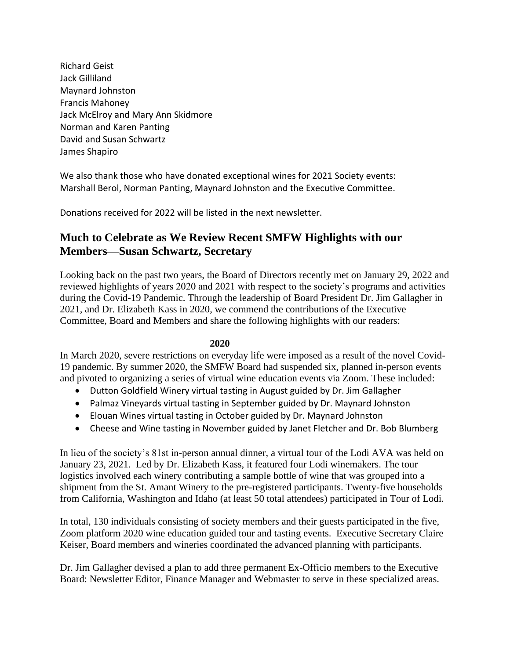Richard Geist Jack Gilliland Maynard Johnston Francis Mahoney Jack McElroy and Mary Ann Skidmore Norman and Karen Panting David and Susan Schwartz James Shapiro

We also thank those who have donated exceptional wines for 2021 Society events: Marshall Berol, Norman Panting, Maynard Johnston and the Executive Committee.

Donations received for 2022 will be listed in the next newsletter.

# **Much to Celebrate as We Review Recent SMFW Highlights with our Members—Susan Schwartz, Secretary**

Looking back on the past two years, the Board of Directors recently met on January 29, 2022 and reviewed highlights of years 2020 and 2021 with respect to the society's programs and activities during the Covid-19 Pandemic. Through the leadership of Board President Dr. Jim Gallagher in 2021, and Dr. Elizabeth Kass in 2020, we commend the contributions of the Executive Committee, Board and Members and share the following highlights with our readers:

### **2020**

In March 2020, severe restrictions on everyday life were imposed as a result of the novel Covid-19 pandemic. By summer 2020, the SMFW Board had suspended six, planned in-person events and pivoted to organizing a series of virtual wine education events via Zoom. These included:

- Dutton Goldfield Winery virtual tasting in August guided by Dr. Jim Gallagher
- Palmaz Vineyards virtual tasting in September guided by Dr. Maynard Johnston
- Elouan Wines virtual tasting in October guided by Dr. Maynard Johnston
- Cheese and Wine tasting in November guided by Janet Fletcher and Dr. Bob Blumberg

In lieu of the society's 81st in-person annual dinner, a virtual tour of the Lodi AVA was held on January 23, 2021. Led by Dr. Elizabeth Kass, it featured four Lodi winemakers. The tour logistics involved each winery contributing a sample bottle of wine that was grouped into a shipment from the St. Amant Winery to the pre-registered participants. Twenty-five households from California, Washington and Idaho (at least 50 total attendees) participated in Tour of Lodi.

In total, 130 individuals consisting of society members and their guests participated in the five, Zoom platform 2020 wine education guided tour and tasting events. Executive Secretary Claire Keiser, Board members and wineries coordinated the advanced planning with participants.

Dr. Jim Gallagher devised a plan to add three permanent Ex-Officio members to the Executive Board: Newsletter Editor, Finance Manager and Webmaster to serve in these specialized areas.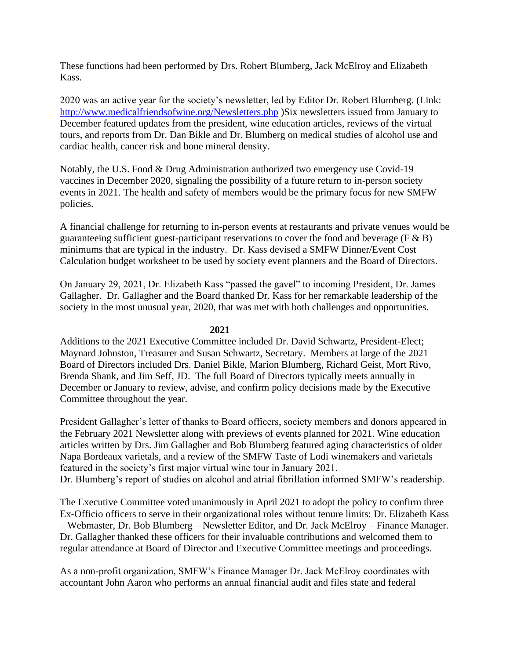These functions had been performed by Drs. Robert Blumberg, Jack McElroy and Elizabeth Kass.

2020 was an active year for the society's newsletter, led by Editor Dr. Robert Blumberg. (Link: <http://www.medicalfriendsofwine.org/Newsletters.php> )Six newsletters issued from January to December featured updates from the president, wine education articles, reviews of the virtual tours, and reports from Dr. Dan Bikle and Dr. Blumberg on medical studies of alcohol use and cardiac health, cancer risk and bone mineral density.

Notably, the U.S. Food & Drug Administration authorized two emergency use Covid-19 vaccines in December 2020, signaling the possibility of a future return to in-person society events in 2021. The health and safety of members would be the primary focus for new SMFW policies.

A financial challenge for returning to in-person events at restaurants and private venues would be guaranteeing sufficient guest-participant reservations to cover the food and beverage ( $F \& B$ ) minimums that are typical in the industry. Dr. Kass devised a SMFW Dinner/Event Cost Calculation budget worksheet to be used by society event planners and the Board of Directors.

On January 29, 2021, Dr. Elizabeth Kass "passed the gavel" to incoming President, Dr. James Gallagher. Dr. Gallagher and the Board thanked Dr. Kass for her remarkable leadership of the society in the most unusual year, 2020, that was met with both challenges and opportunities.

#### **2021**

Additions to the 2021 Executive Committee included Dr. David Schwartz, President-Elect; Maynard Johnston, Treasurer and Susan Schwartz, Secretary. Members at large of the 2021 Board of Directors included Drs. Daniel Bikle, Marion Blumberg, Richard Geist, Mort Rivo, Brenda Shank, and Jim Seff, JD. The full Board of Directors typically meets annually in December or January to review, advise, and confirm policy decisions made by the Executive Committee throughout the year.

President Gallagher's letter of thanks to Board officers, society members and donors appeared in the February 2021 Newsletter along with previews of events planned for 2021. Wine education articles written by Drs. Jim Gallagher and Bob Blumberg featured aging characteristics of older Napa Bordeaux varietals, and a review of the SMFW Taste of Lodi winemakers and varietals featured in the society's first major virtual wine tour in January 2021.

Dr. Blumberg's report of studies on alcohol and atrial fibrillation informed SMFW's readership.

The Executive Committee voted unanimously in April 2021 to adopt the policy to confirm three Ex-Officio officers to serve in their organizational roles without tenure limits: Dr. Elizabeth Kass – Webmaster, Dr. Bob Blumberg – Newsletter Editor, and Dr. Jack McElroy – Finance Manager. Dr. Gallagher thanked these officers for their invaluable contributions and welcomed them to regular attendance at Board of Director and Executive Committee meetings and proceedings.

As a non-profit organization, SMFW's Finance Manager Dr. Jack McElroy coordinates with accountant John Aaron who performs an annual financial audit and files state and federal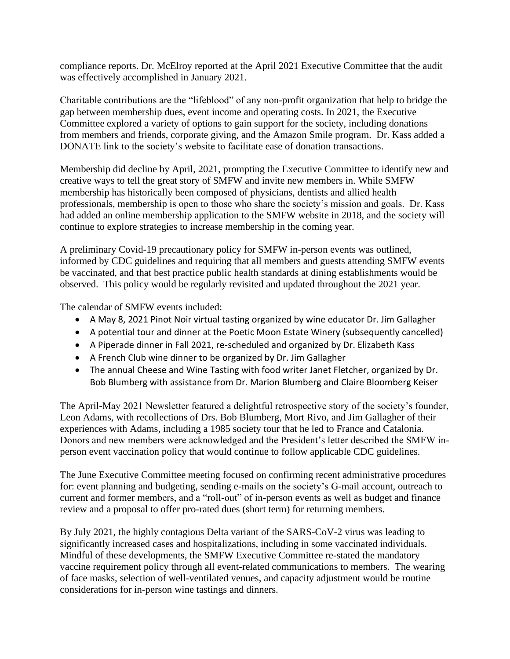compliance reports. Dr. McElroy reported at the April 2021 Executive Committee that the audit was effectively accomplished in January 2021.

Charitable contributions are the "lifeblood" of any non-profit organization that help to bridge the gap between membership dues, event income and operating costs. In 2021, the Executive Committee explored a variety of options to gain support for the society, including donations from members and friends, corporate giving, and the Amazon Smile program. Dr. Kass added a DONATE link to the society's website to facilitate ease of donation transactions.

Membership did decline by April, 2021, prompting the Executive Committee to identify new and creative ways to tell the great story of SMFW and invite new members in. While SMFW membership has historically been composed of physicians, dentists and allied health professionals, membership is open to those who share the society's mission and goals. Dr. Kass had added an online membership application to the SMFW website in 2018, and the society will continue to explore strategies to increase membership in the coming year.

A preliminary Covid-19 precautionary policy for SMFW in-person events was outlined, informed by CDC guidelines and requiring that all members and guests attending SMFW events be vaccinated, and that best practice public health standards at dining establishments would be observed. This policy would be regularly revisited and updated throughout the 2021 year.

The calendar of SMFW events included:

- A May 8, 2021 Pinot Noir virtual tasting organized by wine educator Dr. Jim Gallagher
- A potential tour and dinner at the Poetic Moon Estate Winery (subsequently cancelled)
- A Piperade dinner in Fall 2021, re-scheduled and organized by Dr. Elizabeth Kass
- A French Club wine dinner to be organized by Dr. Jim Gallagher
- The annual Cheese and Wine Tasting with food writer Janet Fletcher, organized by Dr. Bob Blumberg with assistance from Dr. Marion Blumberg and Claire Bloomberg Keiser

The April-May 2021 Newsletter featured a delightful retrospective story of the society's founder, Leon Adams, with recollections of Drs. Bob Blumberg, Mort Rivo, and Jim Gallagher of their experiences with Adams, including a 1985 society tour that he led to France and Catalonia. Donors and new members were acknowledged and the President's letter described the SMFW inperson event vaccination policy that would continue to follow applicable CDC guidelines.

The June Executive Committee meeting focused on confirming recent administrative procedures for: event planning and budgeting, sending e-mails on the society's G-mail account, outreach to current and former members, and a "roll-out" of in-person events as well as budget and finance review and a proposal to offer pro-rated dues (short term) for returning members.

By July 2021, the highly contagious Delta variant of the SARS-CoV-2 virus was leading to significantly increased cases and hospitalizations, including in some vaccinated individuals. Mindful of these developments, the SMFW Executive Committee re-stated the mandatory vaccine requirement policy through all event-related communications to members. The wearing of face masks, selection of well-ventilated venues, and capacity adjustment would be routine considerations for in-person wine tastings and dinners.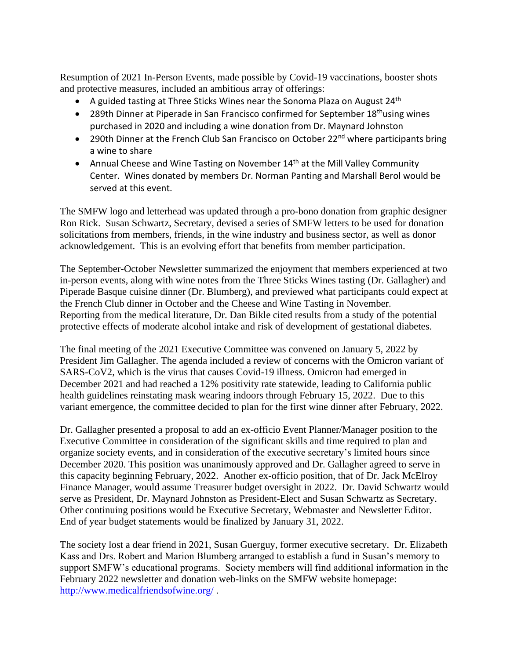Resumption of 2021 In-Person Events, made possible by Covid-19 vaccinations, booster shots and protective measures, included an ambitious array of offerings:

- A guided tasting at Three Sticks Wines near the Sonoma Plaza on August 24<sup>th</sup>
- 289th Dinner at Piperade in San Francisco confirmed for September  $18<sup>th</sup>$ using wines purchased in 2020 and including a wine donation from Dr. Maynard Johnston
- 290th Dinner at the French Club San Francisco on October 22<sup>nd</sup> where participants bring a wine to share
- Annual Cheese and Wine Tasting on November  $14<sup>th</sup>$  at the Mill Valley Community Center. Wines donated by members Dr. Norman Panting and Marshall Berol would be served at this event.

The SMFW logo and letterhead was updated through a pro-bono donation from graphic designer Ron Rick. Susan Schwartz, Secretary, devised a series of SMFW letters to be used for donation solicitations from members, friends, in the wine industry and business sector, as well as donor acknowledgement. This is an evolving effort that benefits from member participation.

The September-October Newsletter summarized the enjoyment that members experienced at two in-person events, along with wine notes from the Three Sticks Wines tasting (Dr. Gallagher) and Piperade Basque cuisine dinner (Dr. Blumberg), and previewed what participants could expect at the French Club dinner in October and the Cheese and Wine Tasting in November. Reporting from the medical literature, Dr. Dan Bikle cited results from a study of the potential protective effects of moderate alcohol intake and risk of development of gestational diabetes.

The final meeting of the 2021 Executive Committee was convened on January 5, 2022 by President Jim Gallagher. The agenda included a review of concerns with the Omicron variant of SARS-CoV2, which is the virus that causes Covid-19 illness. Omicron had emerged in December 2021 and had reached a 12% positivity rate statewide, leading to California public health guidelines reinstating mask wearing indoors through February 15, 2022. Due to this variant emergence, the committee decided to plan for the first wine dinner after February, 2022.

Dr. Gallagher presented a proposal to add an ex-officio Event Planner/Manager position to the Executive Committee in consideration of the significant skills and time required to plan and organize society events, and in consideration of the executive secretary's limited hours since December 2020. This position was unanimously approved and Dr. Gallagher agreed to serve in this capacity beginning February, 2022. Another ex-officio position, that of Dr. Jack McElroy Finance Manager, would assume Treasurer budget oversight in 2022. Dr. David Schwartz would serve as President, Dr. Maynard Johnston as President-Elect and Susan Schwartz as Secretary. Other continuing positions would be Executive Secretary, Webmaster and Newsletter Editor. End of year budget statements would be finalized by January 31, 2022.

The society lost a dear friend in 2021, Susan Guerguy, former executive secretary. Dr. Elizabeth Kass and Drs. Robert and Marion Blumberg arranged to establish a fund in Susan's memory to support SMFW's educational programs. Society members will find additional information in the February 2022 newsletter and donation web-links on the SMFW website homepage: <http://www.medicalfriendsofwine.org/> .